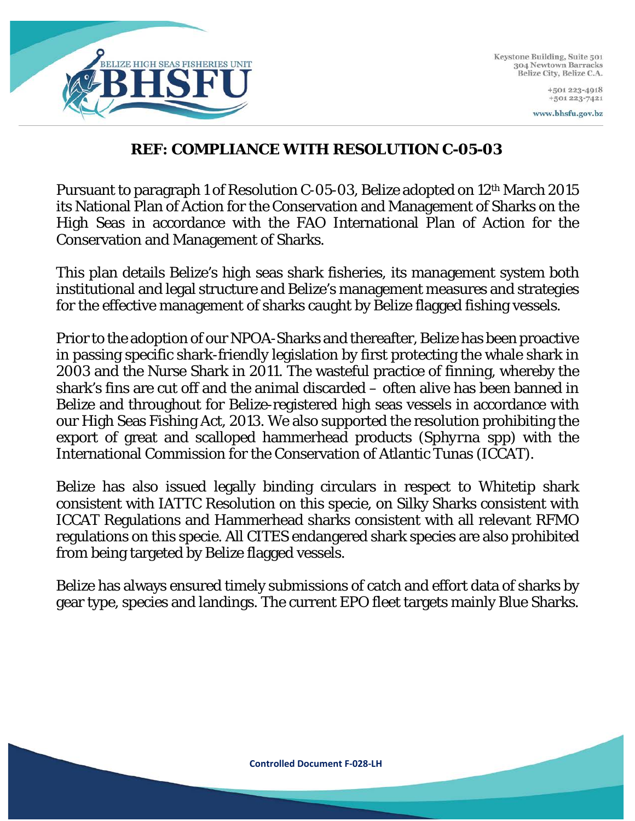

Keystone Building, Suite 501 304 Newtown Barracks Belize City, Belize C.A.

> +501 223-4918 +501 223-7421

www.bhsfu.gov.bz

### **REF: COMPLIANCE WITH RESOLUTION C-05-03**

Pursuant to paragraph 1 of Resolution C-05-03, Belize adopted on 12th March 2015 its National Plan of Action for the Conservation and Management of Sharks on the High Seas in accordance with the FAO International Plan of Action for the Conservation and Management of Sharks.

This plan details Belize's high seas shark fisheries, its management system both institutional and legal structure and Belize's management measures and strategies for the effective management of sharks caught by Belize flagged fishing vessels.

Prior to the adoption of our NPOA-Sharks and thereafter, Belize has been proactive in passing specific shark-friendly legislation by first protecting the whale shark in 2003 and the Nurse Shark in 2011. The wasteful practice of finning, whereby the shark's fins are cut off and the animal discarded – often alive has been banned in Belize and throughout for Belize-registered high seas vessels in accordance with our High Seas Fishing Act, 2013. We also supported the resolution prohibiting the export of great and scalloped hammerhead products (*Sphyrna* spp) with the International Commission for the Conservation of Atlantic Tunas (ICCAT).

Belize has also issued legally binding circulars in respect to Whitetip shark consistent with IATTC Resolution on this specie, on Silky Sharks consistent with ICCAT Regulations and Hammerhead sharks consistent with all relevant RFMO regulations on this specie. All CITES endangered shark species are also prohibited from being targeted by Belize flagged vessels.

Belize has always ensured timely submissions of catch and effort data of sharks by gear type, species and landings. The current EPO fleet targets mainly Blue Sharks.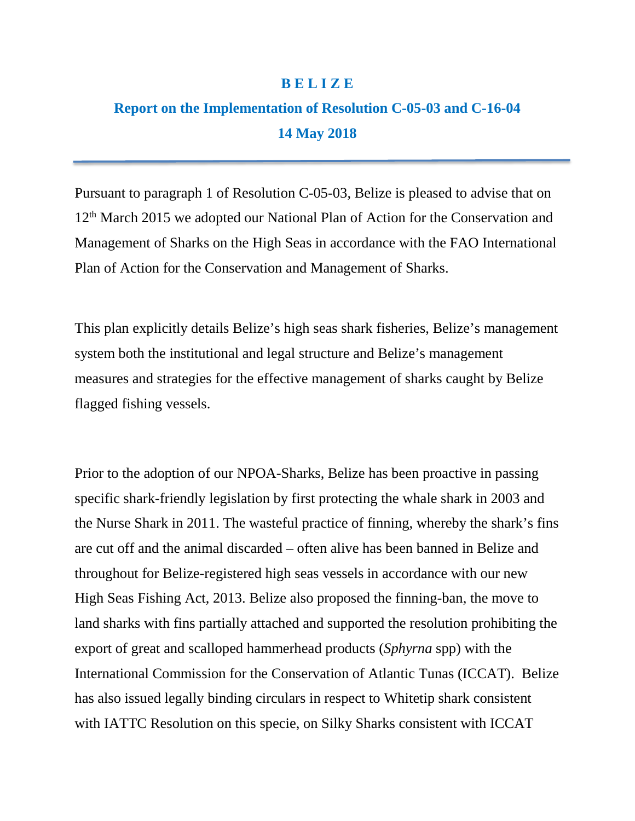#### **B E L I Z E**

# **Report on the Implementation of Resolution C-05-03 and C-16-04 14 May 2018**

Pursuant to paragraph 1 of Resolution C-05-03, Belize is pleased to advise that on 12<sup>th</sup> March 2015 we adopted our National Plan of Action for the Conservation and Management of Sharks on the High Seas in accordance with the FAO International Plan of Action for the Conservation and Management of Sharks.

This plan explicitly details Belize's high seas shark fisheries, Belize's management system both the institutional and legal structure and Belize's management measures and strategies for the effective management of sharks caught by Belize flagged fishing vessels.

Prior to the adoption of our NPOA-Sharks, Belize has been proactive in passing specific shark-friendly legislation by first protecting the whale shark in 2003 and the Nurse Shark in 2011. The wasteful practice of finning, whereby the shark's fins are cut off and the animal discarded – often alive has been banned in Belize and throughout for Belize-registered high seas vessels in accordance with our new High Seas Fishing Act, 2013. Belize also proposed the finning-ban, the move to land sharks with fins partially attached and supported the resolution prohibiting the export of great and scalloped hammerhead products (*Sphyrna* spp) with the International Commission for the Conservation of Atlantic Tunas (ICCAT). Belize has also issued legally binding circulars in respect to Whitetip shark consistent with IATTC Resolution on this specie, on Silky Sharks consistent with ICCAT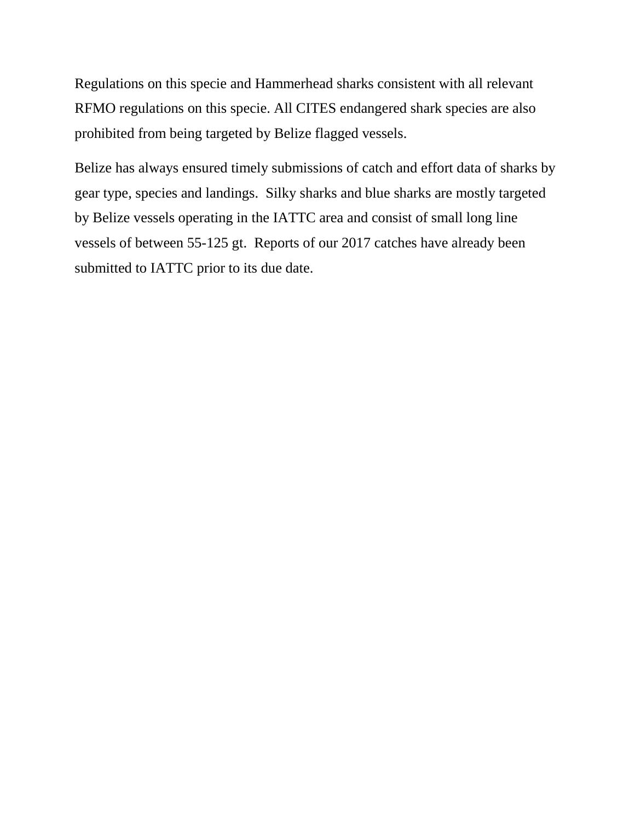Regulations on this specie and Hammerhead sharks consistent with all relevant RFMO regulations on this specie. All CITES endangered shark species are also prohibited from being targeted by Belize flagged vessels.

Belize has always ensured timely submissions of catch and effort data of sharks by gear type, species and landings. Silky sharks and blue sharks are mostly targeted by Belize vessels operating in the IATTC area and consist of small long line vessels of between 55-125 gt. Reports of our 2017 catches have already been submitted to IATTC prior to its due date.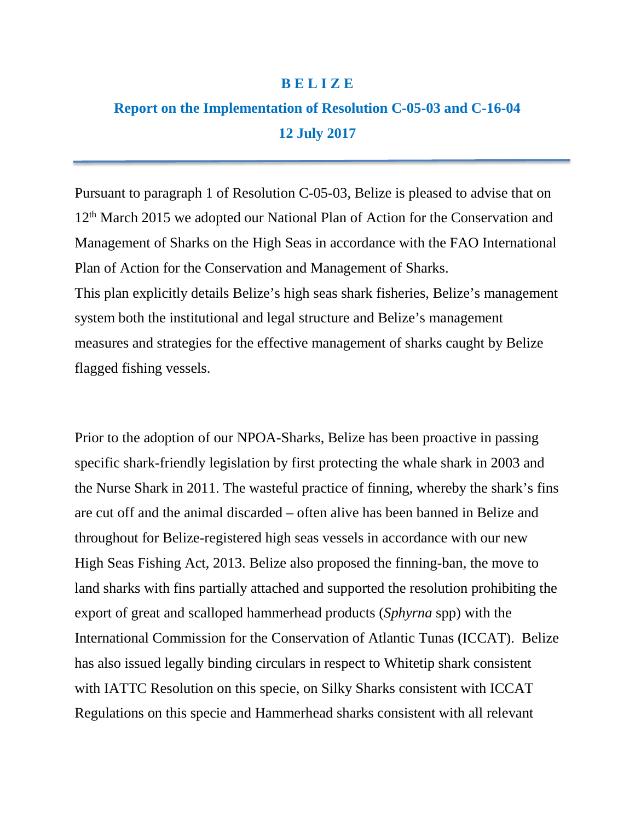#### **B E L I Z E**

# **Report on the Implementation of Resolution C-05-03 and C-16-04 12 July 2017**

Pursuant to paragraph 1 of Resolution C-05-03, Belize is pleased to advise that on 12<sup>th</sup> March 2015 we adopted our National Plan of Action for the Conservation and Management of Sharks on the High Seas in accordance with the FAO International Plan of Action for the Conservation and Management of Sharks. This plan explicitly details Belize's high seas shark fisheries, Belize's management system both the institutional and legal structure and Belize's management measures and strategies for the effective management of sharks caught by Belize flagged fishing vessels.

Prior to the adoption of our NPOA-Sharks, Belize has been proactive in passing specific shark-friendly legislation by first protecting the whale shark in 2003 and the Nurse Shark in 2011. The wasteful practice of finning, whereby the shark's fins are cut off and the animal discarded – often alive has been banned in Belize and throughout for Belize-registered high seas vessels in accordance with our new High Seas Fishing Act, 2013. Belize also proposed the finning-ban, the move to land sharks with fins partially attached and supported the resolution prohibiting the export of great and scalloped hammerhead products (*Sphyrna* spp) with the International Commission for the Conservation of Atlantic Tunas (ICCAT). Belize has also issued legally binding circulars in respect to Whitetip shark consistent with IATTC Resolution on this specie, on Silky Sharks consistent with ICCAT Regulations on this specie and Hammerhead sharks consistent with all relevant